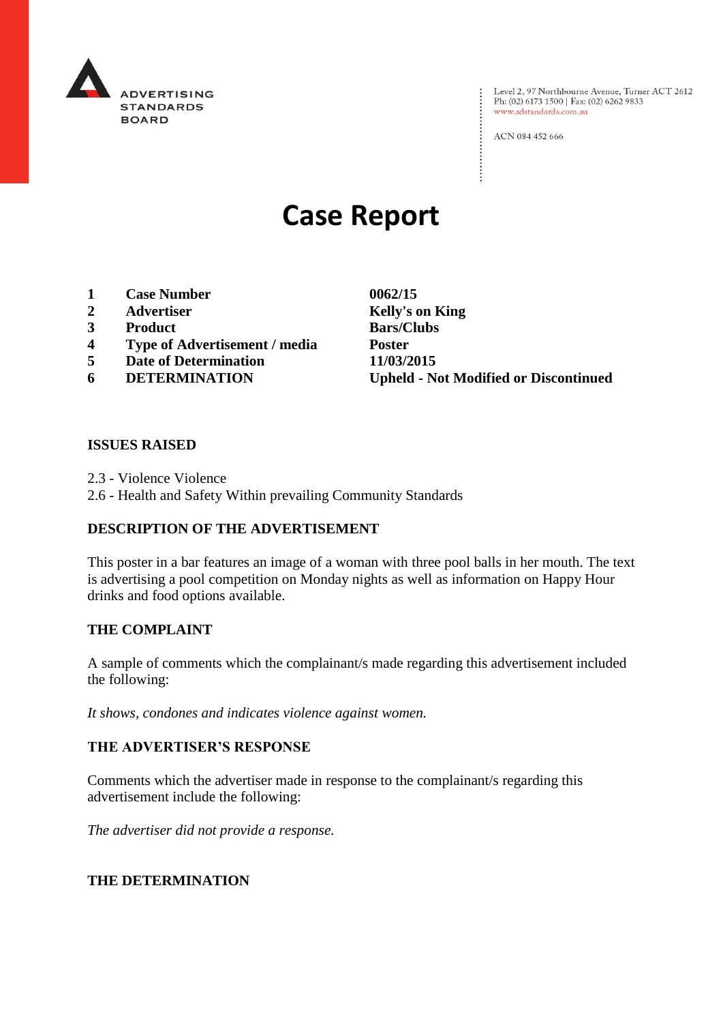

: Level 2, 97 Northbourne Avenue, Turner ACT 2612<br>: Ph: (02) 6173 1500 | Fax: (02) 6262 9833 Ph: (02) 6173 1500 | Fax: (02) 6262 9833 www.adstandards.com.au

ACN 084 452 666

# **Case Report**

- **1 Case Number 0062/15**
- **2 Advertiser Kelly's on King**
- **3 Product Bars/Clubs**
- **4 Type of Advertisement / media Poster**
- **5 Date of Determination 11/03/2015**
- 

**6 DETERMINATION Upheld - Not Modified or Discontinued**

 $\vdots$ 

## **ISSUES RAISED**

2.3 - Violence Violence

2.6 - Health and Safety Within prevailing Community Standards

## **DESCRIPTION OF THE ADVERTISEMENT**

This poster in a bar features an image of a woman with three pool balls in her mouth. The text is advertising a pool competition on Monday nights as well as information on Happy Hour drinks and food options available.

## **THE COMPLAINT**

A sample of comments which the complainant/s made regarding this advertisement included the following:

*It shows, condones and indicates violence against women.*

## **THE ADVERTISER'S RESPONSE**

Comments which the advertiser made in response to the complainant/s regarding this advertisement include the following:

*The advertiser did not provide a response.*

## **THE DETERMINATION**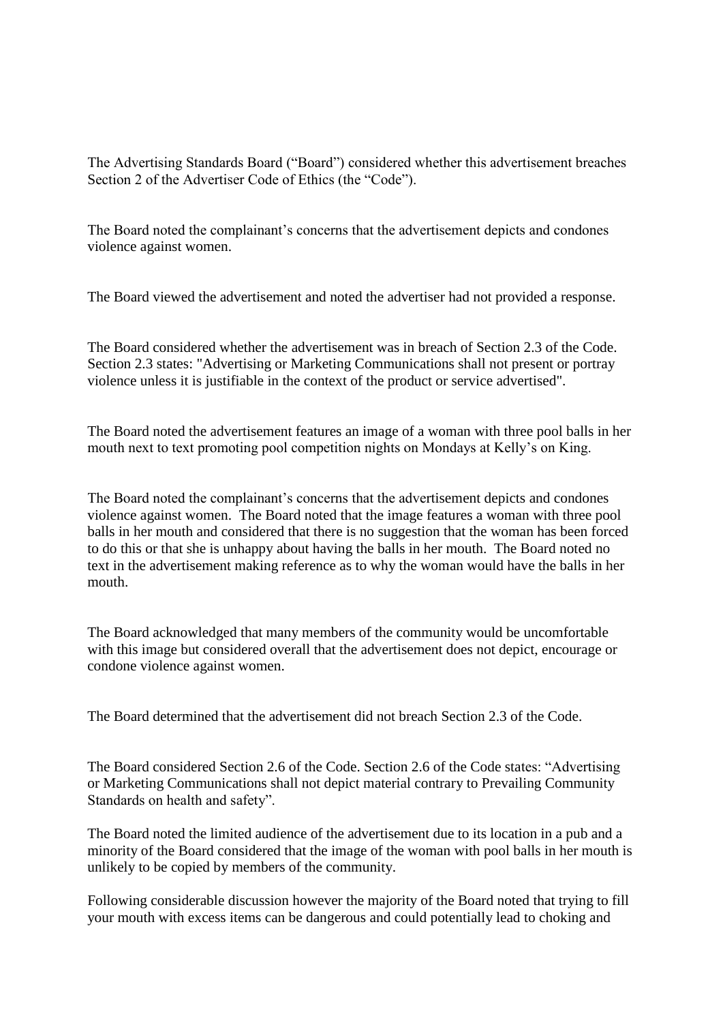The Advertising Standards Board ("Board") considered whether this advertisement breaches Section 2 of the Advertiser Code of Ethics (the "Code").

The Board noted the complainant's concerns that the advertisement depicts and condones violence against women.

The Board viewed the advertisement and noted the advertiser had not provided a response.

The Board considered whether the advertisement was in breach of Section 2.3 of the Code. Section 2.3 states: "Advertising or Marketing Communications shall not present or portray violence unless it is justifiable in the context of the product or service advertised".

The Board noted the advertisement features an image of a woman with three pool balls in her mouth next to text promoting pool competition nights on Mondays at Kelly's on King.

The Board noted the complainant's concerns that the advertisement depicts and condones violence against women. The Board noted that the image features a woman with three pool balls in her mouth and considered that there is no suggestion that the woman has been forced to do this or that she is unhappy about having the balls in her mouth. The Board noted no text in the advertisement making reference as to why the woman would have the balls in her mouth.

The Board acknowledged that many members of the community would be uncomfortable with this image but considered overall that the advertisement does not depict, encourage or condone violence against women.

The Board determined that the advertisement did not breach Section 2.3 of the Code.

The Board considered Section 2.6 of the Code. Section 2.6 of the Code states: "Advertising or Marketing Communications shall not depict material contrary to Prevailing Community Standards on health and safety".

The Board noted the limited audience of the advertisement due to its location in a pub and a minority of the Board considered that the image of the woman with pool balls in her mouth is unlikely to be copied by members of the community.

Following considerable discussion however the majority of the Board noted that trying to fill your mouth with excess items can be dangerous and could potentially lead to choking and